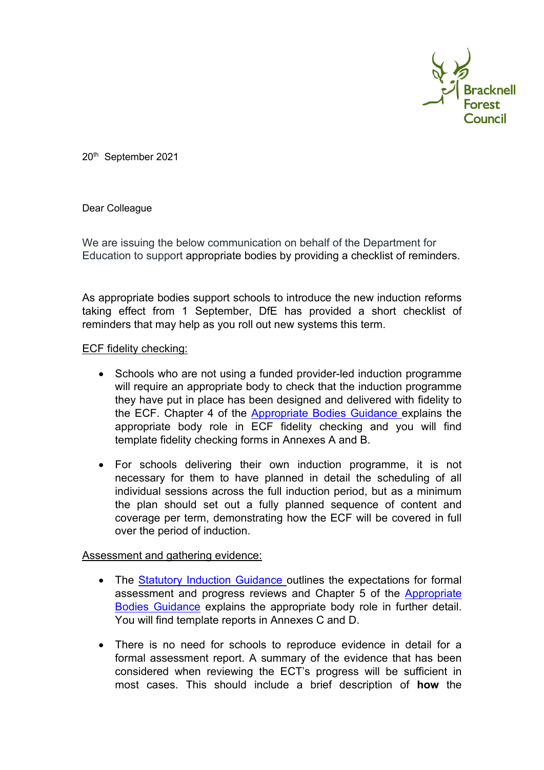

20th September 2021

Dear Colleague

We are issuing the below communication on behalf of the Department for Education to support appropriate bodies by providing a checklist of reminders.

As appropriate bodies support schools to introduce the new induction reforms taking effect from 1 September, DfE has provided a short checklist of reminders that may help as you roll out new systems this term.

## ECF fidelity checking:

- Schools who are not using a funded provider-led induction programme will require an appropriate body to check that the induction programme they have put in place has been designed and delivered with fidelity to the ECF. Chapter 4 of the [Appropriate Bodies Guidance e](https://eur03.safelinks.protection.outlook.com/?url=https%3A%2F%2Fassets.publishing.service.gov.uk%2Fgovernment%2Fuploads%2Fsystem%2Fuploads%2Fattachment_data%2Ffile%2F991723%2FAppropriate_bodies_guidance_induction_and_the_early_career_framework.pdf&data=04%7C01%7CPaula.Shore%40bracknell-forest.gov.uk%7C81262c6f1ff3478c9dcb08d971ea293f%7Cf54c93b70883478fbf3d56e09b7ca0b7%7C0%7C0%7C637666072931562424%7CUnknown%7CTWFpbGZsb3d8eyJWIjoiMC4wLjAwMDAiLCJQIjoiV2luMzIiLCJBTiI6Ik1haWwiLCJXVCI6Mn0%3D%7C1000&sdata=7VGCPxsEeHAnXApywgeqPy5TpG7nG5TheqW1DrcaEJs%3D&reserved=0)xplains the appropriate body role in ECF fidelity checking and you will find template fidelity checking forms in Annexes A and B.
- For schools delivering their own induction programme, it is not necessary for them to have planned in detail the scheduling of all individual sessions across the full induction period, but as a minimum the plan should set out a fully planned sequence of content and coverage per term, demonstrating how the ECF will be covered in full over the period of induction.

## Assessment and gathering evidence:

- The [Statutory Induction Guidance o](https://eur03.safelinks.protection.outlook.com/?url=https%3A%2F%2Fassets.publishing.service.gov.uk%2Fgovernment%2Fuploads%2Fsystem%2Fuploads%2Fattachment_data%2Ffile%2F972316%2FStatutory_Induction_Guidance_2021_final__002_____1___1_.pdf&data=04%7C01%7CPaula.Shore%40bracknell-forest.gov.uk%7C81262c6f1ff3478c9dcb08d971ea293f%7Cf54c93b70883478fbf3d56e09b7ca0b7%7C0%7C0%7C637666072931562424%7CUnknown%7CTWFpbGZsb3d8eyJWIjoiMC4wLjAwMDAiLCJQIjoiV2luMzIiLCJBTiI6Ik1haWwiLCJXVCI6Mn0%3D%7C1000&sdata=XVRwdgcuKWBoZKZLJ0K7latB8ydb9FUf9WNerdGzZlc%3D&reserved=0)utlines the expectations for formal assessment and progress reviews and Chapter 5 of the [Appropriate](https://eur03.safelinks.protection.outlook.com/?url=https%3A%2F%2Fassets.publishing.service.gov.uk%2Fgovernment%2Fuploads%2Fsystem%2Fuploads%2Fattachment_data%2Ffile%2F991723%2FAppropriate_bodies_guidance_induction_and_the_early_career_framework.pdf&data=04%7C01%7CPaula.Shore%40bracknell-forest.gov.uk%7C81262c6f1ff3478c9dcb08d971ea293f%7Cf54c93b70883478fbf3d56e09b7ca0b7%7C0%7C0%7C637666072931572381%7CUnknown%7CTWFpbGZsb3d8eyJWIjoiMC4wLjAwMDAiLCJQIjoiV2luMzIiLCJBTiI6Ik1haWwiLCJXVCI6Mn0%3D%7C1000&sdata=8fefZaCD%2Bc6VJQsaCOXvQ2oeyeo%2FhzxGaQk9hsS0KLU%3D&reserved=0)  [Bodies Guidance](https://eur03.safelinks.protection.outlook.com/?url=https%3A%2F%2Fassets.publishing.service.gov.uk%2Fgovernment%2Fuploads%2Fsystem%2Fuploads%2Fattachment_data%2Ffile%2F991723%2FAppropriate_bodies_guidance_induction_and_the_early_career_framework.pdf&data=04%7C01%7CPaula.Shore%40bracknell-forest.gov.uk%7C81262c6f1ff3478c9dcb08d971ea293f%7Cf54c93b70883478fbf3d56e09b7ca0b7%7C0%7C0%7C637666072931572381%7CUnknown%7CTWFpbGZsb3d8eyJWIjoiMC4wLjAwMDAiLCJQIjoiV2luMzIiLCJBTiI6Ik1haWwiLCJXVCI6Mn0%3D%7C1000&sdata=8fefZaCD%2Bc6VJQsaCOXvQ2oeyeo%2FhzxGaQk9hsS0KLU%3D&reserved=0) explains the appropriate body role in further detail. You will find template reports in Annexes C and D.
- There is no need for schools to reproduce evidence in detail for a formal assessment report. A summary of the evidence that has been considered when reviewing the ECT's progress will be sufficient in most cases. This should include a brief description of **how** the